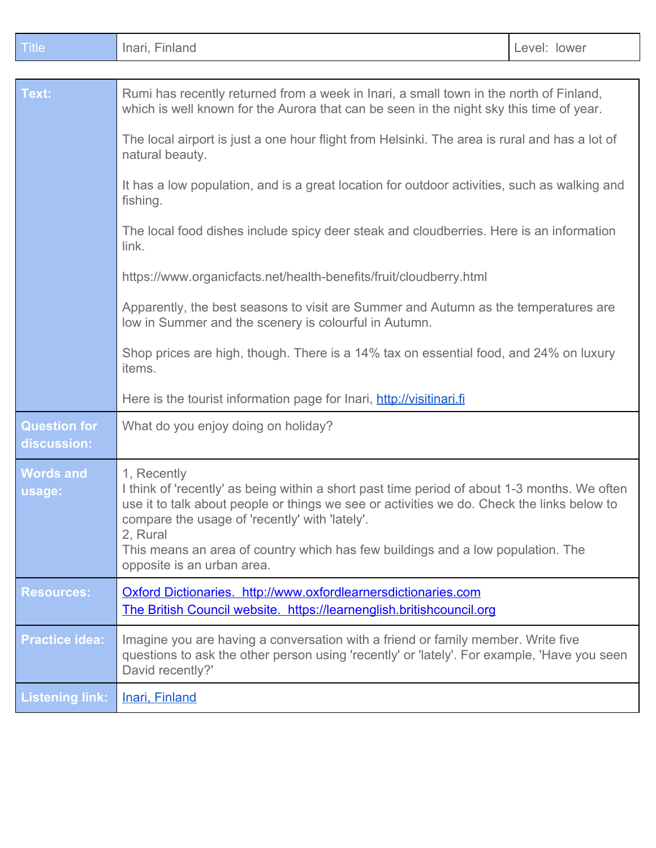| <b>Title</b>                       | Inari, Finland                                                                                                                                                                                                                                                                                                                                                                           | Level: lower                                                                          |  |
|------------------------------------|------------------------------------------------------------------------------------------------------------------------------------------------------------------------------------------------------------------------------------------------------------------------------------------------------------------------------------------------------------------------------------------|---------------------------------------------------------------------------------------|--|
|                                    |                                                                                                                                                                                                                                                                                                                                                                                          |                                                                                       |  |
| Text:                              | Rumi has recently returned from a week in Inari, a small town in the north of Finland,<br>which is well known for the Aurora that can be seen in the night sky this time of year.                                                                                                                                                                                                        |                                                                                       |  |
|                                    | The local airport is just a one hour flight from Helsinki. The area is rural and has a lot of<br>natural beauty.                                                                                                                                                                                                                                                                         |                                                                                       |  |
|                                    | It has a low population, and is a great location for outdoor activities, such as walking and<br>fishing.                                                                                                                                                                                                                                                                                 |                                                                                       |  |
|                                    | The local food dishes include spicy deer steak and cloudberries. Here is an information<br>link.                                                                                                                                                                                                                                                                                         |                                                                                       |  |
|                                    | https://www.organicfacts.net/health-benefits/fruit/cloudberry.html                                                                                                                                                                                                                                                                                                                       |                                                                                       |  |
|                                    | Apparently, the best seasons to visit are Summer and Autumn as the temperatures are<br>low in Summer and the scenery is colourful in Autumn.                                                                                                                                                                                                                                             |                                                                                       |  |
|                                    | items.                                                                                                                                                                                                                                                                                                                                                                                   | Shop prices are high, though. There is a 14% tax on essential food, and 24% on luxury |  |
|                                    | Here is the tourist information page for Inari, http://visitinari.fi                                                                                                                                                                                                                                                                                                                     |                                                                                       |  |
| <b>Question for</b><br>discussion: | What do you enjoy doing on holiday?                                                                                                                                                                                                                                                                                                                                                      |                                                                                       |  |
| <b>Words and</b><br>usage:         | 1, Recently<br>I think of 'recently' as being within a short past time period of about 1-3 months. We often<br>use it to talk about people or things we see or activities we do. Check the links below to<br>compare the usage of 'recently' with 'lately'.<br>2, Rural<br>This means an area of country which has few buildings and a low population. The<br>opposite is an urban area. |                                                                                       |  |
| <b>Resources:</b>                  | Oxford Dictionaries. http://www.oxfordlearnersdictionaries.com<br>The British Council website. https://learnenglish.britishcouncil.org                                                                                                                                                                                                                                                   |                                                                                       |  |
| <b>Practice idea:</b>              | Imagine you are having a conversation with a friend or family member. Write five<br>questions to ask the other person using 'recently' or 'lately'. For example, 'Have you seen<br>David recently?'                                                                                                                                                                                      |                                                                                       |  |
| <b>Listening link:</b>             | Inari, Finland                                                                                                                                                                                                                                                                                                                                                                           |                                                                                       |  |